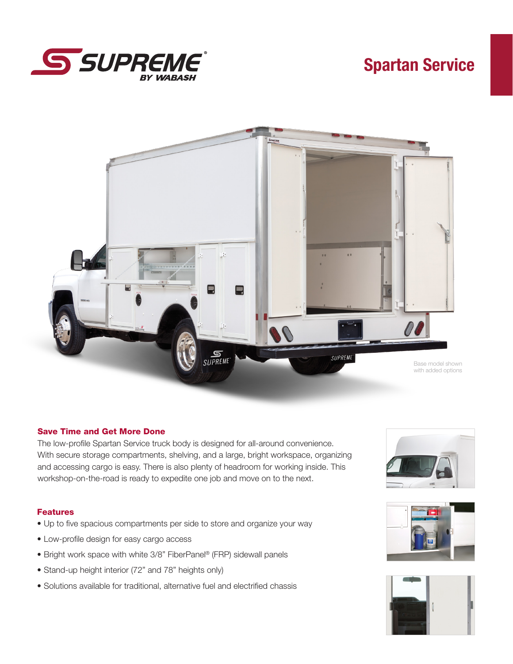

# Spartan Service



## Save Time and Get More Done

The low-profile Spartan Service truck body is designed for all-around convenience. With secure storage compartments, shelving, and a large, bright workspace, organizing and accessing cargo is easy. There is also plenty of headroom for working inside. This workshop-on-the-road is ready to expedite one job and move on to the next.

## Features

- Up to five spacious compartments per side to store and organize your way
- Low-profile design for easy cargo access
- Bright work space with white 3/8" FiberPanel® (FRP) sidewall panels
- Stand-up height interior (72" and 78" heights only)
- Solutions available for traditional, alternative fuel and electrified chassis